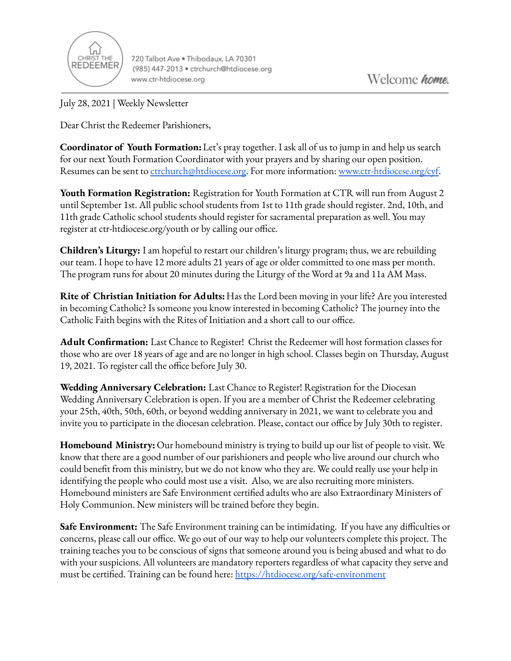

720 Talbot Ave . Thibodaux, LA 70301 (985) 447-2013 · ctrchurch@htdiocese.org www.ctr-htdiocese.org

July 28, 2021 | Weekly Newsletter

Dear Christ the Redeemer Parishioners,

**Coordinator of Youth Formation:**Let's pray together. I ask all of us to jump in and help us search for our next Youth Formation Coordinator with your prayers and by sharing our open position. Resumes can be sent to [ctrchurch@htdiocese.org.](mailto:ctrchurch@htdiocese.org) For more information: [www.ctr-htdiocese.org/cyf.](http://www.ctr-htdiocese.org/cyf)

**Youth Formation Registration:** Registration for Youth Formation at CTR will run from August 2 until September 1st. All public school students from 1st to 11th grade should register. 2nd, 10th, and 11th grade Catholic school students should register for sacramental preparation as well. You may register at ctr-htdiocese.org/youth or by calling our office.

**Children's Liturgy:** I am hopeful to restart our children's liturgy program; thus, we are rebuilding our team. I hope to have 12 more adults 21 years of age or older committed to one mass per month. The program runs for about 20 minutes during the Liturgy of the Word at 9a and 11a AM Mass.

**Rite of Christian Initiation for Adults:** Has the Lord been moving in your life? Are you interested in becoming Catholic? Is someone you know interested in becoming Catholic? The journey into the Catholic Faith begins with the Rites of Initiation and a short call to our office.

**Adult Confirmation:** Last Chance to Register! Christ the Redeemer will host formation classes for those who are over 18 years of age and are no longer in high school. Classes begin on Thursday, August 19, 2021. To register call the office before July 30.

**Wedding Anniversary Celebration:** Last Chance to Register! Registration for the Diocesan Wedding Anniversary Celebration is open. If you are a member of Christ the Redeemer celebrating your 25th, 40th, 50th, 60th, or beyond wedding anniversary in 2021, we want to celebrate you and invite you to participate in the diocesan celebration. Please, contact our office by July 30th to register.

**Homebound Ministry:** Our homebound ministry is trying to build up our list of people to visit. We know that there are a good number of our parishioners and people who live around our church who could benefit from this ministry, but we do not know who they are. We could really use your help in identifying the people who could most use a visit. Also, we are also recruiting more ministers. Homebound ministers are Safe Environment certified adults who are also Extraordinary Ministers of Holy Communion. New ministers will be trained before they begin.

**Safe Environment:** The Safe Environment training can be intimidating. If you have any difficulties or concerns, please call our office. We go out of our way to help our volunteers complete this project. The training teaches you to be conscious of signs that someone around you is being abused and what to do with your suspicions. All volunteers are mandatory reporters regardless of what capacity they serve and must be certified. Training can be found here: <https://htdiocese.org/safe-environment>